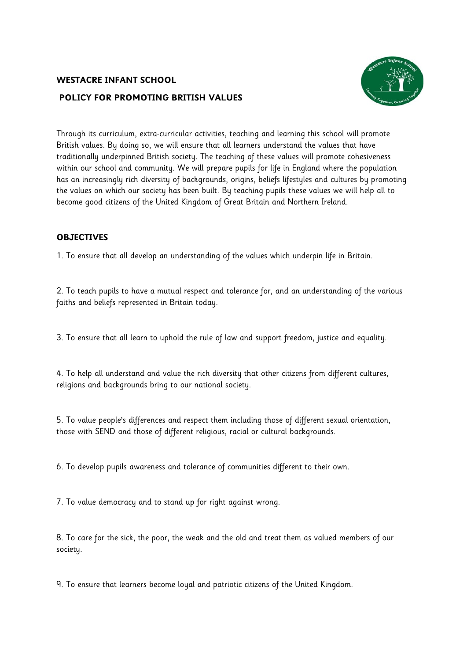# **WESTACRE INFANT SCHOOL POLICY FOR PROMOTING BRITISH VALUES**



Through its curriculum, extra-curricular activities, teaching and learning this school will promote British values. By doing so, we will ensure that all learners understand the values that have traditionally underpinned British society. The teaching of these values will promote cohesiveness within our school and community. We will prepare pupils for life in England where the population has an increasingly rich diversity of backgrounds, origins, beliefs lifestyles and cultures by promoting the values on which our society has been built. By teaching pupils these values we will help all to become good citizens of the United Kingdom of Great Britain and Northern Ireland.

## **OBJECTIVES**

1. To ensure that all develop an understanding of the values which underpin life in Britain.

2. To teach pupils to have a mutual respect and tolerance for, and an understanding of the various faiths and beliefs represented in Britain today.

3. To ensure that all learn to uphold the rule of law and support freedom, justice and equality.

4. To help all understand and value the rich diversity that other citizens from different cultures, religions and backgrounds bring to our national society.

5. To value people's differences and respect them including those of different sexual orientation, those with SEND and those of different religious, racial or cultural backgrounds.

6. To develop pupils awareness and tolerance of communities different to their own.

7. To value democracy and to stand up for right against wrong.

8. To care for the sick, the poor, the weak and the old and treat them as valued members of our society.

9. To ensure that learners become loyal and patriotic citizens of the United Kingdom.